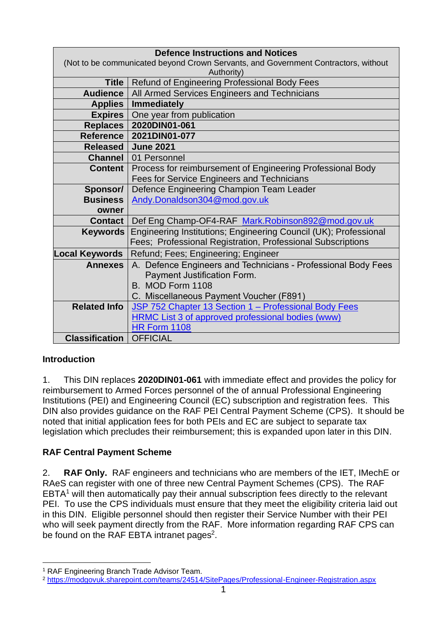| <b>Defence Instructions and Notices</b>                                            |                                                                  |  |  |  |  |
|------------------------------------------------------------------------------------|------------------------------------------------------------------|--|--|--|--|
| (Not to be communicated beyond Crown Servants, and Government Contractors, without |                                                                  |  |  |  |  |
| Authority)                                                                         |                                                                  |  |  |  |  |
| <b>Title</b>                                                                       | Refund of Engineering Professional Body Fees                     |  |  |  |  |
| <b>Audience</b>                                                                    | All Armed Services Engineers and Technicians                     |  |  |  |  |
| <b>Applies</b>                                                                     | <b>Immediately</b>                                               |  |  |  |  |
| Expires                                                                            | One year from publication                                        |  |  |  |  |
| Replaces                                                                           | 2020DIN01-061                                                    |  |  |  |  |
| Reference                                                                          | 2021DIN01-077                                                    |  |  |  |  |
| Released                                                                           | <b>June 2021</b>                                                 |  |  |  |  |
| Channel                                                                            | 01 Personnel                                                     |  |  |  |  |
| <b>Content</b>                                                                     | Process for reimbursement of Engineering Professional Body       |  |  |  |  |
|                                                                                    | Fees for Service Engineers and Technicians                       |  |  |  |  |
| Sponsor/                                                                           | Defence Engineering Champion Team Leader                         |  |  |  |  |
| <b>Business</b>                                                                    | Andy.Donaldson304@mod.gov.uk                                     |  |  |  |  |
| owner                                                                              |                                                                  |  |  |  |  |
| <b>Contact</b>                                                                     | Def Eng Champ-OF4-RAF Mark.Robinson892@mod.gov.uk                |  |  |  |  |
| <b>Keywords</b>                                                                    | Engineering Institutions; Engineering Council (UK); Professional |  |  |  |  |
|                                                                                    | Fees; Professional Registration, Professional Subscriptions      |  |  |  |  |
| ocal Keywords                                                                      | Refund; Fees; Engineering; Engineer                              |  |  |  |  |
| <b>Annexes</b>                                                                     | A. Defence Engineers and Technicians - Professional Body Fees    |  |  |  |  |
|                                                                                    | Payment Justification Form.                                      |  |  |  |  |
|                                                                                    | B. MOD Form 1108                                                 |  |  |  |  |
|                                                                                    | C. Miscellaneous Payment Voucher (F891)                          |  |  |  |  |
| <b>Related Info</b>                                                                | JSP 752 Chapter 13 Section 1 - Professional Body Fees            |  |  |  |  |
|                                                                                    | <b>HRMC List 3 of approved professional bodies (www)</b>         |  |  |  |  |
|                                                                                    | <b>HR Form 1108</b>                                              |  |  |  |  |
| <b>Classification</b>                                                              | <b>OFFICIAL</b>                                                  |  |  |  |  |

## **Introduction**

1. This DIN replaces **2020DIN01-061** with immediate effect and provides the policy for reimbursement to Armed Forces personnel of the of annual Professional Engineering Institutions (PEI) and Engineering Council (EC) subscription and registration fees. This DIN also provides guidance on the RAF PEI Central Payment Scheme (CPS). It should be noted that initial application fees for both PEIs and EC are subject to separate tax legislation which precludes their reimbursement; this is expanded upon later in this DIN.

## **RAF Central Payment Scheme**

2. **RAF Only.** RAF engineers and technicians who are members of the IET, IMechE or RAeS can register with one of three new Central Payment Schemes (CPS). The RAF  $EBTA<sup>1</sup>$  will then automatically pay their annual subscription fees directly to the relevant PEI. To use the CPS individuals must ensure that they meet the eligibility criteria laid out in this DIN. Eligible personnel should then register their Service Number with their PEI who will seek payment directly from the RAF. More information regarding RAF CPS can be found on the RAF EBTA intranet pages<sup>2</sup>.

<sup>1</sup> RAF Engineering Branch Trade Advisor Team.

<sup>2</sup> <https://modgovuk.sharepoint.com/teams/24514/SitePages/Professional-Engineer-Registration.aspx>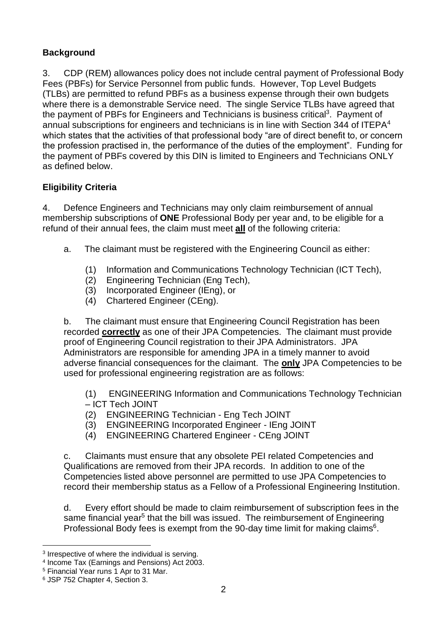## **Background**

3. CDP (REM) allowances policy does not include central payment of Professional Body Fees (PBFs) for Service Personnel from public funds. However, Top Level Budgets (TLBs) are permitted to refund PBFs as a business expense through their own budgets where there is a demonstrable Service need. The single Service TLBs have agreed that the payment of PBFs for Engineers and Technicians is business critical<sup>3</sup>. Payment of annual subscriptions for engineers and technicians is in line with Section 344 of ITEPA<sup>4</sup> which states that the activities of that professional body "are of direct benefit to, or concern the profession practised in, the performance of the duties of the employment". Funding for the payment of PBFs covered by this DIN is limited to Engineers and Technicians ONLY as defined below.

### **Eligibility Criteria**

4. Defence Engineers and Technicians may only claim reimbursement of annual membership subscriptions of **ONE** Professional Body per year and, to be eligible for a refund of their annual fees, the claim must meet **all** of the following criteria:

- a. The claimant must be registered with the Engineering Council as either:
	- (1) Information and Communications Technology Technician (ICT Tech),
	- (2) Engineering Technician (Eng Tech),
	- (3) Incorporated Engineer (IEng), or
	- (4) Chartered Engineer (CEng).

b. The claimant must ensure that Engineering Council Registration has been recorded **correctly** as one of their JPA Competencies. The claimant must provide proof of Engineering Council registration to their JPA Administrators. JPA Administrators are responsible for amending JPA in a timely manner to avoid adverse financial consequences for the claimant. The **only** JPA Competencies to be used for professional engineering registration are as follows:

(1) ENGINEERING Information and Communications Technology Technician – ICT Tech JOINT

- (2) ENGINEERING Technician Eng Tech JOINT
- (3) ENGINEERING Incorporated Engineer IEng JOINT
- (4) ENGINEERING Chartered Engineer CEng JOINT

c. Claimants must ensure that any obsolete PEI related Competencies and Qualifications are removed from their JPA records. In addition to one of the Competencies listed above personnel are permitted to use JPA Competencies to record their membership status as a Fellow of a Professional Engineering Institution.

d. Every effort should be made to claim reimbursement of subscription fees in the same financial year<sup>5</sup> that the bill was issued. The reimbursement of Engineering Professional Body fees is exempt from the 90-day time limit for making claims $6$ .

<sup>&</sup>lt;sup>3</sup> Irrespective of where the individual is serving.

<sup>4</sup> Income Tax (Earnings and Pensions) Act 2003.

<sup>5</sup> Financial Year runs 1 Apr to 31 Mar.

<sup>6</sup> JSP 752 Chapter 4, Section 3.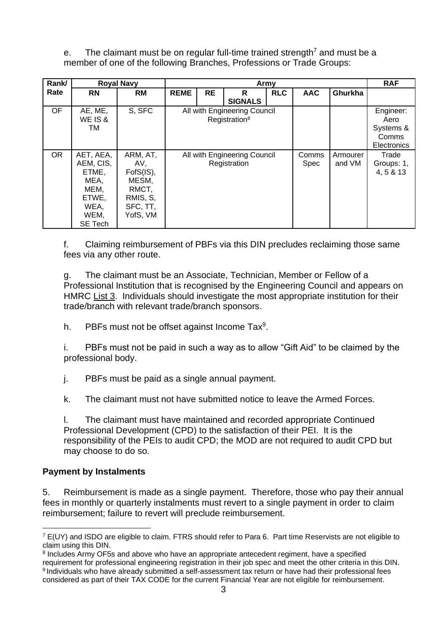e. The claimant must be on regular full-time trained strength<sup>7</sup> and must be a member of one of the following Branches, Professions or Trade Groups:

| Rank/     | <b>Royal Navy</b> |           | Army                         |           |                | <b>RAF</b> |            |            |             |
|-----------|-------------------|-----------|------------------------------|-----------|----------------|------------|------------|------------|-------------|
| Rate      | <b>RN</b>         | <b>RM</b> | <b>REME</b>                  | <b>RE</b> | R              | <b>RLC</b> | <b>AAC</b> | Ghurkha    |             |
|           |                   |           |                              |           | <b>SIGNALS</b> |            |            |            |             |
| <b>OF</b> | AE, ME,           | S, SFC    | All with Engineering Council |           |                |            |            | Engineer:  |             |
|           | WE IS &           |           | Registration <sup>8</sup>    |           |                |            |            | Aero       |             |
|           | TM                |           |                              |           |                |            |            |            | Systems &   |
|           |                   |           |                              |           |                |            |            | Comms      |             |
|           |                   |           |                              |           |                |            |            |            | Electronics |
| <b>OR</b> | AET, AEA,         | ARM, AT,  | All with Engineering Council |           |                | Comms      | Armourer   | Trade      |             |
|           | AEM, CIS,         | AV,       | Registration                 |           |                | Spec       | and VM     | Groups: 1, |             |
|           | ETME,             | FofS(IS), |                              |           |                |            |            | 4, 5 & 13  |             |
|           | MEA,              | MESM,     |                              |           |                |            |            |            |             |
|           | MEM,              | RMCT,     |                              |           |                |            |            |            |             |
|           | ETWE,             | RMIS, S,  |                              |           |                |            |            |            |             |
|           | WEA,              | SFC, TT,  |                              |           |                |            |            |            |             |
|           | WEM,              | YofS, VM  |                              |           |                |            |            |            |             |
|           | SE Tech           |           |                              |           |                |            |            |            |             |

f. Claiming reimbursement of PBFs via this DIN precludes reclaiming those same fees via any other route.

g. The claimant must be an Associate, Technician, Member or Fellow of a Professional Institution that is recognised by the Engineering Council and appears on HMRC [List 3.](https://www.gov.uk/government/publications/professional-bodies-approved-for-tax-relief-list-3) Individuals should investigate the most appropriate institution for their trade/branch with relevant trade/branch sponsors.

h. PBFs must not be offset against Income  $\text{Tax}^9$ .

i. PBFs must not be paid in such a way as to allow "Gift Aid" to be claimed by the professional body.

j. PBFs must be paid as a single annual payment.

k. The claimant must not have submitted notice to leave the Armed Forces.

l. The claimant must have maintained and recorded appropriate Continued Professional Development (CPD) to the satisfaction of their PEI. It is the responsibility of the PEIs to audit CPD; the MOD are not required to audit CPD but may choose to do so.

### **Payment by Instalments**

5. Reimbursement is made as a single payment. Therefore, those who pay their annual fees in monthly or quarterly instalments must revert to a single payment in order to claim reimbursement; failure to revert will preclude reimbursement.

<sup>7</sup> E(UY) and ISDO are eligible to claim. FTRS should refer to Para 6. Part time Reservists are not eligible to claim using this DIN.

<sup>&</sup>lt;sup>8</sup> Includes Army OF5s and above who have an appropriate antecedent regiment, have a specified requirement for professional engineering registration in their job spe*c* and meet the other criteria in this DIN. 9 Individuals who have already submitted a self-assessment tax return or have had their professional fees considered as part of their TAX CODE for the current Financial Year are not eligible for reimbursement.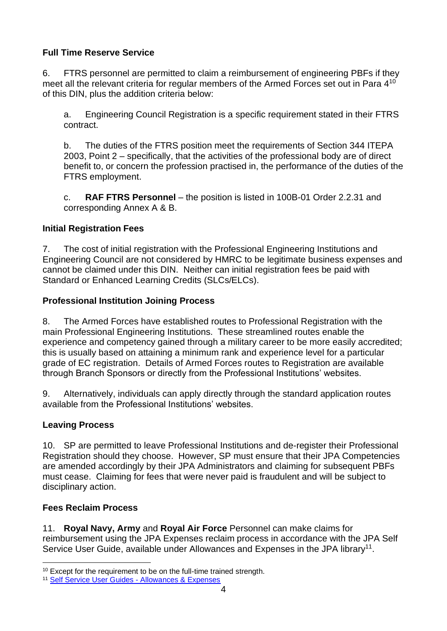## **Full Time Reserve Service**

6. FTRS personnel are permitted to claim a reimbursement of engineering PBFs if they meet all the relevant criteria for regular members of the Armed Forces set out in Para  $4^{10}$ of this DIN, plus the addition criteria below:

a. Engineering Council Registration is a specific requirement stated in their FTRS contract.

b. The duties of the FTRS position meet the requirements of Section 344 ITEPA 2003, Point 2 – specifically, that the activities of the professional body are of direct benefit to, or concern the profession practised in, the performance of the duties of the FTRS employment.

c. **RAF FTRS Personnel** – the position is listed in 100B-01 Order 2.2.31 and corresponding Annex A & B.

## **Initial Registration Fees**

7. The cost of initial registration with the Professional Engineering Institutions and Engineering Council are not considered by HMRC to be legitimate business expenses and cannot be claimed under this DIN. Neither can initial registration fees be paid with Standard or Enhanced Learning Credits (SLCs/ELCs).

### **Professional Institution Joining Process**

8. The Armed Forces have established routes to Professional Registration with the main Professional Engineering Institutions. These streamlined routes enable the experience and competency gained through a military career to be more easily accredited: this is usually based on attaining a minimum rank and experience level for a particular grade of EC registration. Details of Armed Forces routes to Registration are available through Branch Sponsors or directly from the Professional Institutions' websites.

9. Alternatively, individuals can apply directly through the standard application routes available from the Professional Institutions' websites.

## **Leaving Process**

10. SP are permitted to leave Professional Institutions and de-register their Professional Registration should they choose. However, SP must ensure that their JPA Competencies are amended accordingly by their JPA Administrators and claiming for subsequent PBFs must cease. Claiming for fees that were never paid is fraudulent and will be subject to disciplinary action.

## **Fees Reclaim Process**

11. **Royal Navy, Army** and **Royal Air Force** Personnel can make claims for reimbursement using the JPA Expenses reclaim process in accordance with the JPA Self Service User Guide, available under Allowances and Expenses in the JPA library<sup>11</sup>.

<sup>&</sup>lt;sup>10</sup> Except for the requirement to be on the full-time trained strength.

<sup>11</sup> [Self Service User Guides -](https://modgovuk-my.sharepoint.com/personal/mark_robinson892_mod_gov_uk/Documents/Role/Eng%20Champion%20Temporary/Professional%20Fees%20DIN/June%2021%20Update/Self%20Service%20User%20Guides%20-%20Allowances%20&%20Expenses) Allowances & Expenses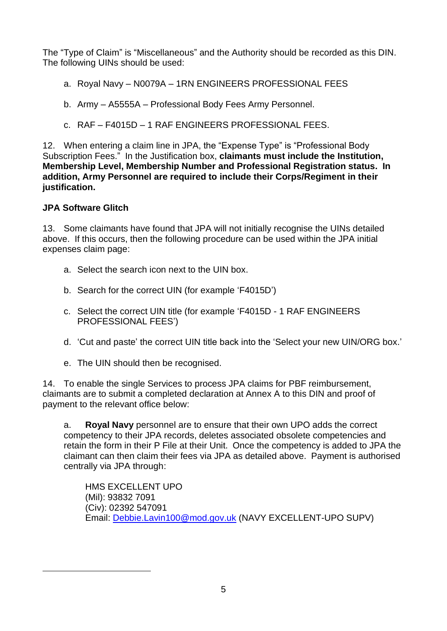The "Type of Claim" is "Miscellaneous" and the Authority should be recorded as this DIN. The following UINs should be used:

- a. Royal Navy N0079A 1RN ENGINEERS PROFESSIONAL FEES
- b. Army A5555A Professional Body Fees Army Personnel.
- c. RAF F4015D 1 RAF ENGINEERS PROFESSIONAL FEES.

12. When entering a claim line in JPA, the "Expense Type" is "Professional Body Subscription Fees." In the Justification box, **claimants must include the Institution, Membership Level, Membership Number and Professional Registration status. In addition, Army Personnel are required to include their Corps/Regiment in their justification.**

### **JPA Software Glitch**

13. Some claimants have found that JPA will not initially recognise the UINs detailed above. If this occurs, then the following procedure can be used within the JPA initial expenses claim page:

- a. Select the search icon next to the UIN box.
- b. Search for the correct UIN (for example 'F4015D')
- c. Select the correct UIN title (for example 'F4015D 1 RAF ENGINEERS PROFESSIONAL FEES')
- d. 'Cut and paste' the correct UIN title back into the 'Select your new UIN/ORG box.'
- e. The UIN should then be recognised.

14. To enable the single Services to process JPA claims for PBF reimbursement, claimants are to submit a completed declaration at Annex A to this DIN and proof of payment to the relevant office below:

a. **Royal Navy** personnel are to ensure that their own UPO adds the correct competency to their JPA records, deletes associated obsolete competencies and retain the form in their P File at their Unit. Once the competency is added to JPA the claimant can then claim their fees via JPA as detailed above. Payment is authorised centrally via JPA through:

HMS EXCELLENT UPO (Mil): 93832 7091 (Civ): 02392 547091 Email: [Debbie.Lavin100@mod.gov.uk](mailto:Debbie.Lavin100@mod.gov.uk) (NAVY EXCELLENT-UPO SUPV)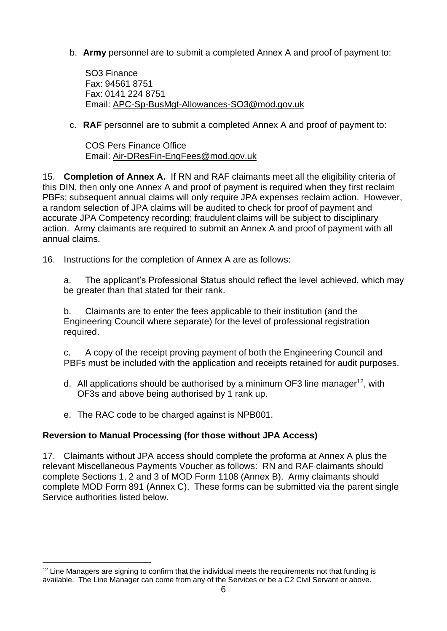b. **Army** personnel are to submit a completed Annex A and proof of payment to:

SO3 Finance Fax: 94561 8751 Fax: 0141 224 8751 Email: [APC-Sp-BusMgt-Allowances-SO3@mod.gov.uk](mailto:APC-Sp-BusMgt-Allowances-SO3@mod.gov.uk)

c. **RAF** personnel are to submit a completed Annex A and proof of payment to:

COS Pers Finance Office Email: [Air-DResFin-EngFees@mod.gov.uk](mailto:Air-DResFin-EngFees@mod.gov.uk)

15. **Completion of Annex A.** If RN and RAF claimants meet all the eligibility criteria of this DIN, then only one Annex A and proof of payment is required when they first reclaim PBFs; subsequent annual claims will only require JPA expenses reclaim action. However, a random selection of JPA claims will be audited to check for proof of payment and accurate JPA Competency recording; fraudulent claims will be subject to disciplinary action. Army claimants are required to submit an Annex A and proof of payment with all annual claims.

16. Instructions for the completion of Annex A are as follows:

a. The applicant's Professional Status should reflect the level achieved, which may be greater than that stated for their rank.

b. Claimants are to enter the fees applicable to their institution (and the Engineering Council where separate) for the level of professional registration required.

c. A copy of the receipt proving payment of both the Engineering Council and PBFs must be included with the application and receipts retained for audit purposes.

- d. All applications should be authorised by a minimum OF3 line manager<sup>12</sup>, with OF3s and above being authorised by 1 rank up.
- e. The RAC code to be charged against is NPB001.

### **Reversion to Manual Processing (for those without JPA Access)**

17. Claimants without JPA access should complete the proforma at Annex A plus the relevant Miscellaneous Payments Voucher as follows: RN and RAF claimants should complete Sections 1, 2 and 3 of MOD Form 1108 (Annex B). Army claimants should complete MOD Form 891 (Annex C). These forms can be submitted via the parent single Service authorities listed below.

<sup>&</sup>lt;sup>12</sup> Line Managers are signing to confirm that the individual meets the requirements not that funding is available. The Line Manager can come from any of the Services or be a C2 Civil Servant or above.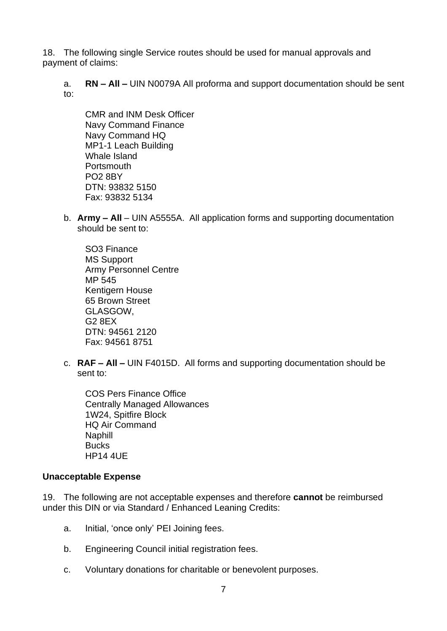18. The following single Service routes should be used for manual approvals and payment of claims:

a. **RN – All –** UIN N0079A All proforma and support documentation should be sent to:

CMR and INM Desk Officer Navy Command Finance Navy Command HQ MP1-1 Leach Building Whale Island Portsmouth PO2 8BY DTN: 93832 5150 Fax: 93832 5134

b. **Army – All** – UIN A5555A. All application forms and supporting documentation should be sent to:

SO3 Finance MS Support Army Personnel Centre MP 545 Kentigern House 65 Brown Street GLASGOW, G2 8EX DTN: 94561 2120 Fax: 94561 8751

c. **RAF – All –** UIN F4015D.All forms and supporting documentation should be sent to:

COS Pers Finance Office Centrally Managed Allowances 1W24, Spitfire Block HQ Air Command Naphill **Bucks** HP14 4UE

#### **Unacceptable Expense**

19. The following are not acceptable expenses and therefore **cannot** be reimbursed under this DIN or via Standard / Enhanced Leaning Credits:

- a. Initial, 'once only' PEI Joining fees.
- b. Engineering Council initial registration fees.
- c. Voluntary donations for charitable or benevolent purposes.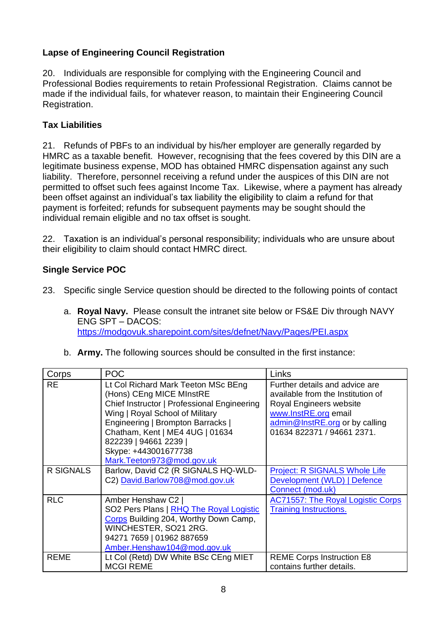## **Lapse of Engineering Council Registration**

20. Individuals are responsible for complying with the Engineering Council and Professional Bodies requirements to retain Professional Registration. Claims cannot be made if the individual fails, for whatever reason, to maintain their Engineering Council Registration.

### **Tax Liabilities**

21. Refunds of PBFs to an individual by his/her employer are generally regarded by HMRC as a taxable benefit. However, recognising that the fees covered by this DIN are a legitimate business expense, MOD has obtained HMRC dispensation against any such liability. Therefore, personnel receiving a refund under the auspices of this DIN are not permitted to offset such fees against Income Tax. Likewise, where a payment has already been offset against an individual's tax liability the eligibility to claim a refund for that payment is forfeited; refunds for subsequent payments may be sought should the individual remain eligible and no tax offset is sought.

22. Taxation is an individual's personal responsibility; individuals who are unsure about their eligibility to claim should contact HMRC direct.

### **Single Service POC**

23. Specific single Service question should be directed to the following points of contact

- a. **Royal Navy.** Please consult the intranet site below or FS&E Div through NAVY ENG SPT – DACOS: <https://modgovuk.sharepoint.com/sites/defnet/Navy/Pages/PEI.aspx>
- b. **Army.** The following sources should be consulted in the first instance:

| Corps            | <b>POC</b>                                                                                                                                                                                                                                                                                              | Links                                                                                                                                                                                  |
|------------------|---------------------------------------------------------------------------------------------------------------------------------------------------------------------------------------------------------------------------------------------------------------------------------------------------------|----------------------------------------------------------------------------------------------------------------------------------------------------------------------------------------|
| <b>RE</b>        | Lt Col Richard Mark Teeton MSc BEng<br>(Hons) CEng MICE MInstRE<br>Chief Instructor   Professional Engineering<br>Wing   Royal School of Military<br>Engineering   Brompton Barracks  <br>Chatham, Kent   ME4 4UG   01634<br>822239   94661 2239  <br>Skype: +443001677738<br>Mark.Teeton973@mod.gov.uk | Further details and advice are<br>available from the Institution of<br>Royal Engineers website<br>www.InstRE.org email<br>admin@InstRE.org or by calling<br>01634 822371 / 94661 2371. |
| <b>R SIGNALS</b> | Barlow, David C2 (R SIGNALS HQ-WLD-<br>C2) David.Barlow708@mod.gov.uk                                                                                                                                                                                                                                   | <b>Project: R SIGNALS Whole Life</b><br>Development (WLD)   Defence<br>Connect (mod.uk)                                                                                                |
| <b>RLC</b>       | Amber Henshaw C2  <br>SO2 Pers Plans   RHQ The Royal Logistic<br>Corps Building 204, Worthy Down Camp,<br>WINCHESTER, SO21 2RG.<br>94271 7659   01962 887659<br>Amber.Henshaw104@mod.gov.uk                                                                                                             | <b>AC71557: The Royal Logistic Corps</b><br><b>Training Instructions.</b>                                                                                                              |
| <b>REME</b>      | Lt Col (Retd) DW White BSc CEng MIET<br><b>MCGI REME</b>                                                                                                                                                                                                                                                | <b>REME Corps Instruction E8</b><br>contains further details.                                                                                                                          |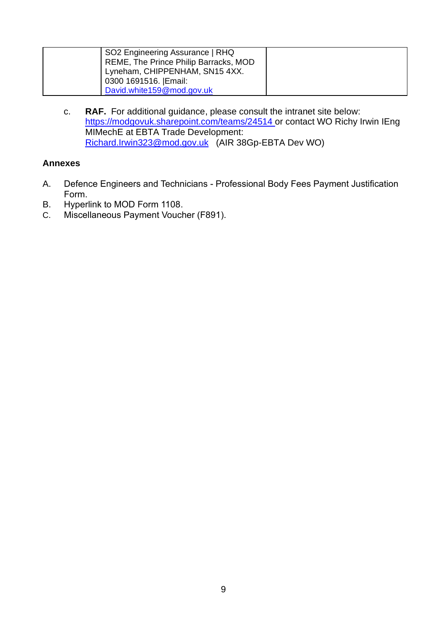| SO2 Engineering Assurance   RHQ       |  |
|---------------------------------------|--|
| REME, The Prince Philip Barracks, MOD |  |
| Lyneham, CHIPPENHAM, SN15 4XX.        |  |
| 0300 1691516. Email:                  |  |
| David.white159@mod.gov.uk             |  |

c. **RAF.** For additional guidance, please consult the intranet site below: <https://modgovuk.sharepoint.com/teams/24514> or contact WO Richy Irwin IEng MIMechE at EBTA Trade Development: [Richard.Irwin323@mod.gov.uk](mailto:Richard.Irwin323@mod.gov.uk) (AIR 38Gp-EBTA Dev WO)

### **Annexes**

- A. Defence Engineers and Technicians Professional Body Fees Payment Justification Form.
- B. Hyperlink to MOD Form 1108.
- C. Miscellaneous Payment Voucher (F891).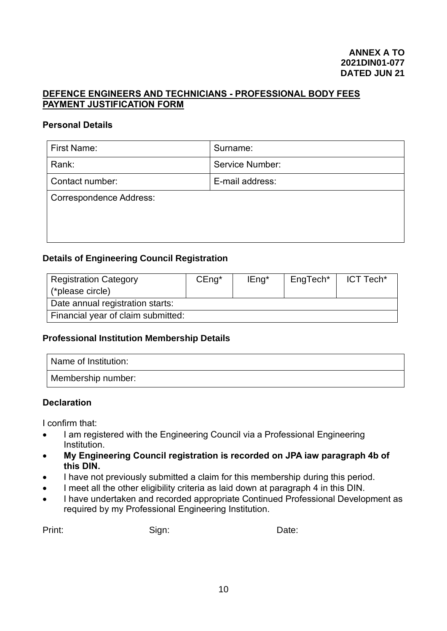#### **DEFENCE ENGINEERS AND TECHNICIANS - PROFESSIONAL BODY FEES PAYMENT JUSTIFICATION FORM**

#### **Personal Details**

| Surname:                       |  |  |  |  |  |
|--------------------------------|--|--|--|--|--|
| <b>Service Number:</b>         |  |  |  |  |  |
| E-mail address:                |  |  |  |  |  |
| <b>Correspondence Address:</b> |  |  |  |  |  |
|                                |  |  |  |  |  |
|                                |  |  |  |  |  |
|                                |  |  |  |  |  |

#### **Details of Engineering Council Registration**

| <b>Registration Category</b>       | $CEng*$ | IEng <sup>*</sup> | EngTech* | ICT Tech* |
|------------------------------------|---------|-------------------|----------|-----------|
| (*please circle)                   |         |                   |          |           |
| Date annual registration starts:   |         |                   |          |           |
| Financial year of claim submitted: |         |                   |          |           |

#### **Professional Institution Membership Details**

| Name of Institution: |  |
|----------------------|--|
| Membership number:   |  |

#### **Declaration**

I confirm that:

- I am registered with the Engineering Council via a Professional Engineering Institution.
- **My Engineering Council registration is recorded on JPA iaw paragraph 4b of this DIN.**
- I have not previously submitted a claim for this membership during this period.
- I meet all the other eligibility criteria as laid down at paragraph 4 in this DIN.
- I have undertaken and recorded appropriate Continued Professional Development as required by my Professional Engineering Institution.

Print: Date: Sign: Sign: Date: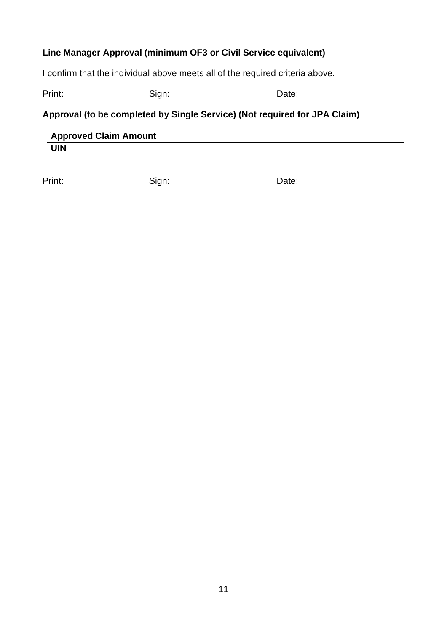## **Line Manager Approval (minimum OF3 or Civil Service equivalent)**

I confirm that the individual above meets all of the required criteria above.

Print: Date: Sign: Sign: Date:

# **Approval (to be completed by Single Service) (Not required for JPA Claim)**

| <b>Approved Claim Amount</b> |  |
|------------------------------|--|
| <b>UIN</b>                   |  |

Print: Date: Sign: Sign: Date: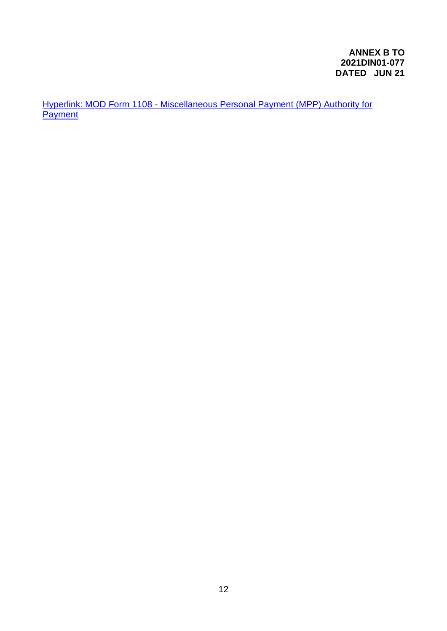Hyperlink: MOD Form 1108 - [Miscellaneous Personal Payment \(MPP\) Authority for](https://modgovuk.sharepoint.com/sites/defnet/Corp/PSCPay/MiscPersonalPayments/Forms/HR%20Form%201108%20v15.pdf#search=1108)  **[Payment](https://modgovuk.sharepoint.com/sites/defnet/Corp/PSCPay/MiscPersonalPayments/Forms/HR%20Form%201108%20v15.pdf#search=1108)**